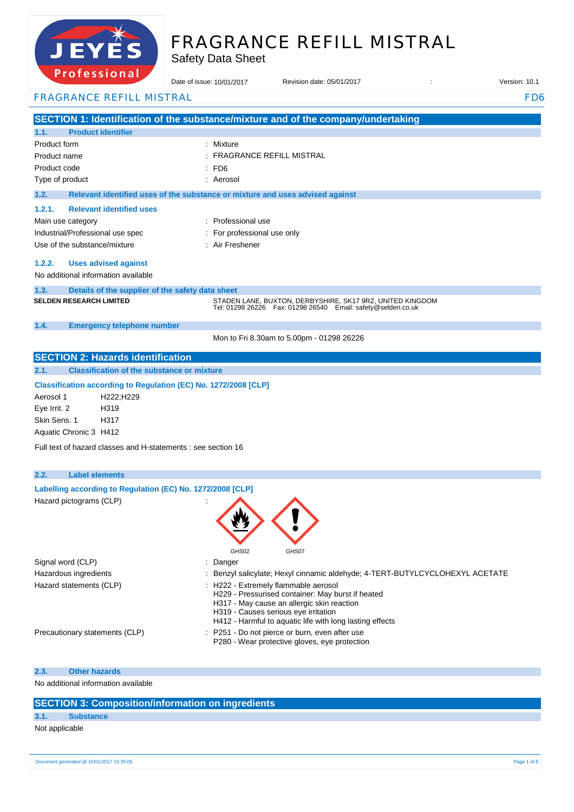

# FRAGRANCE REFILL MISTRAL

Safety Data Sheet

| 101033101101                                                                      | Date of issue: 10/01/2017                                                     | Revision date: 05/01/2017<br>$\ddot{\phantom{a}}$                                                                               | Version: 10.1   |
|-----------------------------------------------------------------------------------|-------------------------------------------------------------------------------|---------------------------------------------------------------------------------------------------------------------------------|-----------------|
| <b>FRAGRANCE REFILL MISTRAL</b>                                                   |                                                                               |                                                                                                                                 | FD <sub>6</sub> |
| SECTION 1: Identification of the substance/mixture and of the company/undertaking |                                                                               |                                                                                                                                 |                 |
| 1.1.<br><b>Product identifier</b>                                                 |                                                                               |                                                                                                                                 |                 |
| Product form                                                                      | : Mixture                                                                     |                                                                                                                                 |                 |
| Product name                                                                      | <b>FRAGRANCE REFILL MISTRAL</b>                                               |                                                                                                                                 |                 |
| Product code                                                                      | FD6                                                                           |                                                                                                                                 |                 |
| Type of product                                                                   | : Aerosol                                                                     |                                                                                                                                 |                 |
| 1.2.                                                                              | Relevant identified uses of the substance or mixture and uses advised against |                                                                                                                                 |                 |
| 1.2.1.<br><b>Relevant identified uses</b>                                         |                                                                               |                                                                                                                                 |                 |
| Main use category                                                                 | : Professional use                                                            |                                                                                                                                 |                 |
| Industrial/Professional use spec                                                  | For professional use only                                                     |                                                                                                                                 |                 |
| Use of the substance/mixture                                                      | : Air Freshener                                                               |                                                                                                                                 |                 |
| 1.2.2.<br><b>Uses advised against</b><br>No additional information available      |                                                                               |                                                                                                                                 |                 |
| 1.3.<br>Details of the supplier of the safety data sheet                          |                                                                               |                                                                                                                                 |                 |
| <b>SELDEN RESEARCH LIMITED</b>                                                    |                                                                               | STADEN LANE, BUXTON, DERBYSHIRE, SK17 9RZ, UNITED KINGDOM<br>Tel: 01298 26226    Fax: 01298 26540    Email: safety@selden.co.uk |                 |
| 1.4.<br><b>Emergency telephone number</b>                                         |                                                                               |                                                                                                                                 |                 |
|                                                                                   | Mon to Fri 8.30am to 5.00pm - 01298 26226                                     |                                                                                                                                 |                 |
| <b>SECTION 2: Hazards identification</b>                                          |                                                                               |                                                                                                                                 |                 |
| 2.1.<br><b>Classification of the substance or mixture</b>                         |                                                                               |                                                                                                                                 |                 |
| Classification according to Regulation (EC) No. 1272/2008 [CLP]                   |                                                                               |                                                                                                                                 |                 |
| Aerosol 1<br>H222;H229                                                            |                                                                               |                                                                                                                                 |                 |
| Eye Irrit. 2<br>H319                                                              |                                                                               |                                                                                                                                 |                 |
| Skin Sens, 1<br>H317                                                              |                                                                               |                                                                                                                                 |                 |
| Aquatic Chronic 3 H412                                                            |                                                                               |                                                                                                                                 |                 |
| Full text of hazard classes and H-statements : see section 16                     |                                                                               |                                                                                                                                 |                 |
| 2.2.<br><b>Label elements</b>                                                     |                                                                               |                                                                                                                                 |                 |
| Labelling according to Regulation (EC) No. 1272/2008 [CLP]                        |                                                                               |                                                                                                                                 |                 |
| Hazard pictograms (CLP)                                                           |                                                                               |                                                                                                                                 |                 |
|                                                                                   |                                                                               |                                                                                                                                 |                 |
|                                                                                   |                                                                               |                                                                                                                                 |                 |
|                                                                                   |                                                                               |                                                                                                                                 |                 |
|                                                                                   |                                                                               |                                                                                                                                 |                 |
|                                                                                   | GHS02                                                                         | GHS07                                                                                                                           |                 |
| Signal word (CLP)<br>Hazardous ingredients                                        | : Danger                                                                      | Benzyl salicylate; Hexyl cinnamic aldehyde; 4-TERT-BUTYLCYCLOHEXYL ACETATE                                                      |                 |
| Hazard statements (CLP)                                                           | : H222 - Extremely flammable aerosol                                          |                                                                                                                                 |                 |
|                                                                                   |                                                                               | H229 - Pressurised container: May burst if heated                                                                               |                 |
|                                                                                   | H317 - May cause an allergic skin reaction                                    |                                                                                                                                 |                 |
|                                                                                   | H319 - Causes serious eye irritation                                          | H412 - Harmful to aquatic life with long lasting effects                                                                        |                 |
| Precautionary statements (CLP)                                                    | P251 - Do not pierce or burn, even after use                                  |                                                                                                                                 |                 |
|                                                                                   |                                                                               | P280 - Wear protective gloves, eye protection                                                                                   |                 |
| <b>Other hazards</b><br>2.3.                                                      |                                                                               |                                                                                                                                 |                 |
| No additional information available                                               |                                                                               |                                                                                                                                 |                 |
| <b>SECTION 3: Composition/information on ingredients</b>                          |                                                                               |                                                                                                                                 |                 |

### **3.1. Substance**

Not applicable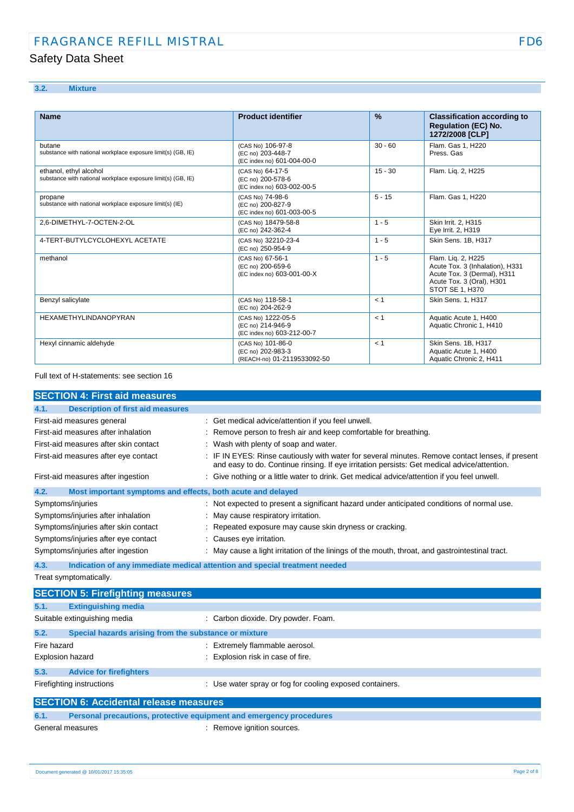### **3.2. Mixture**

| <b>Name</b>                                                                            | <b>Product identifier</b>                                             | $\frac{9}{6}$ | <b>Classification according to</b><br><b>Regulation (EC) No.</b><br>1272/2008 [CLP]                                                  |
|----------------------------------------------------------------------------------------|-----------------------------------------------------------------------|---------------|--------------------------------------------------------------------------------------------------------------------------------------|
| butane<br>substance with national workplace exposure limit(s) (GB, IE)                 | (CAS No) 106-97-8<br>(EC no) 203-448-7<br>(EC index no) 601-004-00-0  | $30 - 60$     | Flam. Gas 1. H220<br>Press, Gas                                                                                                      |
| ethanol, ethyl alcohol<br>substance with national workplace exposure limit(s) (GB, IE) | (CAS No) 64-17-5<br>(EC no) 200-578-6<br>(EC index no) 603-002-00-5   | $15 - 30$     | Flam. Lig. 2, H225                                                                                                                   |
| propane<br>substance with national workplace exposure limit(s) (IE)                    | (CAS No) 74-98-6<br>(EC no) 200-827-9<br>(EC index no) 601-003-00-5   | $5 - 15$      | Flam. Gas 1. H220                                                                                                                    |
| 2.6-DIMETHYL-7-OCTEN-2-OL                                                              | (CAS No) 18479-58-8<br>(EC no) 242-362-4                              | $1 - 5$       | Skin Irrit. 2. H315<br>Eye Irrit. 2, H319                                                                                            |
| 4-TERT-BUTYLCYCLOHEXYL ACETATE                                                         | (CAS No) 32210-23-4<br>(EC no) 250-954-9                              | $1 - 5$       | Skin Sens. 1B, H317                                                                                                                  |
| methanol                                                                               | (CAS No) 67-56-1<br>(EC no) 200-659-6<br>(EC index no) 603-001-00-X   | $1 - 5$       | Flam. Lig. 2, H225<br>Acute Tox. 3 (Inhalation), H331<br>Acute Tox. 3 (Dermal), H311<br>Acute Tox. 3 (Oral), H301<br>STOT SE 1. H370 |
| Benzyl salicylate                                                                      | (CAS No) 118-58-1<br>(EC no) 204-262-9                                | < 1           | Skin Sens. 1, H317                                                                                                                   |
| <b>HEXAMETHYLINDANOPYRAN</b>                                                           | (CAS No) 1222-05-5<br>(EC no) 214-946-9<br>(EC index no) 603-212-00-7 | < 1           | Aquatic Acute 1, H400<br>Aquatic Chronic 1, H410                                                                                     |
| Hexyl cinnamic aldehyde                                                                | (CAS No) 101-86-0<br>(EC no) 202-983-3<br>(REACH-no) 01-2119533092-50 | < 1           | Skin Sens. 1B. H317<br>Aquatic Acute 1, H400<br>Aquatic Chronic 2, H411                                                              |

#### Full text of H-statements: see section 16

| <b>SECTION 4: First aid measures</b>                                |                                                                                                                                                                                                 |
|---------------------------------------------------------------------|-------------------------------------------------------------------------------------------------------------------------------------------------------------------------------------------------|
| <b>Description of first aid measures</b><br>4.1.                    |                                                                                                                                                                                                 |
| First-aid measures general                                          | : Get medical advice/attention if you feel unwell.                                                                                                                                              |
| First-aid measures after inhalation                                 | : Remove person to fresh air and keep comfortable for breathing.                                                                                                                                |
| First-aid measures after skin contact                               | : Wash with plenty of soap and water.                                                                                                                                                           |
| First-aid measures after eye contact                                | : IF IN EYES: Rinse cautiously with water for several minutes. Remove contact lenses, if present<br>and easy to do. Continue rinsing. If eye irritation persists: Get medical advice/attention. |
| First-aid measures after ingestion                                  | : Give nothing or a little water to drink. Get medical advice/attention if you feel unwell.                                                                                                     |
| Most important symptoms and effects, both acute and delayed<br>4.2. |                                                                                                                                                                                                 |
| Symptoms/injuries                                                   | : Not expected to present a significant hazard under anticipated conditions of normal use.                                                                                                      |
| Symptoms/injuries after inhalation                                  | : May cause respiratory irritation.                                                                                                                                                             |
| Symptoms/injuries after skin contact                                | : Repeated exposure may cause skin dryness or cracking.                                                                                                                                         |
| Symptoms/injuries after eye contact                                 | : Causes eye irritation.                                                                                                                                                                        |
| Symptoms/injuries after ingestion                                   | : May cause a light irritation of the linings of the mouth, throat, and gastrointestinal tract.                                                                                                 |
| 4.3.                                                                | Indication of any immediate medical attention and special treatment needed                                                                                                                      |

Treat symptomatically.

|                                               | <b>SECTION 5: Firefighting measures</b>                             |                                                          |  |  |
|-----------------------------------------------|---------------------------------------------------------------------|----------------------------------------------------------|--|--|
| 5.1.                                          | <b>Extinguishing media</b>                                          |                                                          |  |  |
| Suitable extinguishing media                  |                                                                     | : Carbon dioxide. Dry powder. Foam.                      |  |  |
| 5.2.                                          | Special hazards arising from the substance or mixture               |                                                          |  |  |
| Fire hazard                                   |                                                                     | Extremely flammable aerosol.                             |  |  |
| Explosion hazard                              |                                                                     | Explosion risk in case of fire.                          |  |  |
| 5.3.                                          | <b>Advice for firefighters</b>                                      |                                                          |  |  |
| Firefighting instructions                     |                                                                     | : Use water spray or fog for cooling exposed containers. |  |  |
| <b>SECTION 6: Accidental release measures</b> |                                                                     |                                                          |  |  |
| 6.1.                                          | Personal precautions, protective equipment and emergency procedures |                                                          |  |  |

General measures **interval in the Community** Memove ignition sources.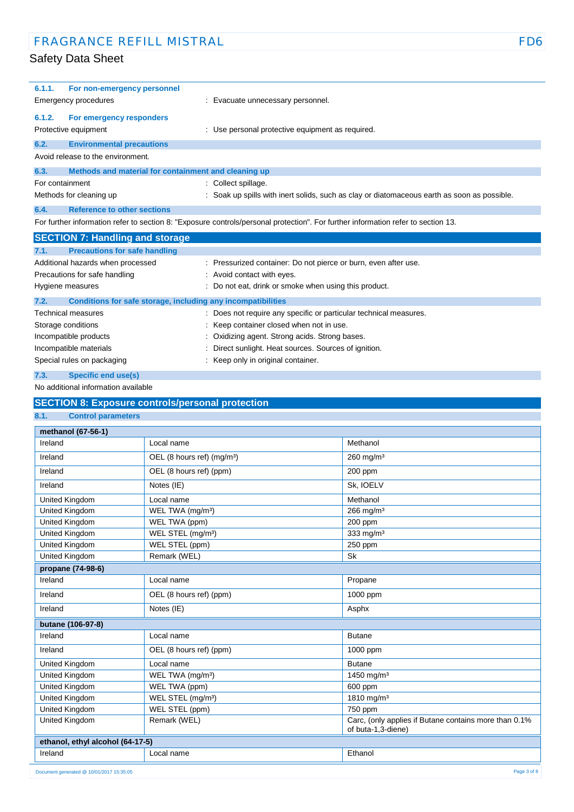| 6.1.1.          | For non-emergency personnel                                  |                                                                                                                                   |
|-----------------|--------------------------------------------------------------|-----------------------------------------------------------------------------------------------------------------------------------|
|                 | <b>Emergency procedures</b>                                  | Evacuate unnecessary personnel.                                                                                                   |
| 6.1.2.          | For emergency responders                                     |                                                                                                                                   |
|                 | Protective equipment                                         | : Use personal protective equipment as required.                                                                                  |
| 6.2.            | <b>Environmental precautions</b>                             |                                                                                                                                   |
|                 | Avoid release to the environment.                            |                                                                                                                                   |
| 6.3.            | Methods and material for containment and cleaning up         |                                                                                                                                   |
| For containment |                                                              | Collect spillage.                                                                                                                 |
|                 | Methods for cleaning up                                      | Soak up spills with inert solids, such as clay or diatomaceous earth as soon as possible.                                         |
| 6.4.            | <b>Reference to other sections</b>                           |                                                                                                                                   |
|                 |                                                              | For further information refer to section 8: "Exposure controls/personal protection". For further information refer to section 13. |
|                 | <b>SECTION 7: Handling and storage</b>                       |                                                                                                                                   |
| 7.1.            | <b>Precautions for safe handling</b>                         |                                                                                                                                   |
|                 | Additional hazards when processed                            | : Pressurized container: Do not pierce or burn, even after use.                                                                   |
|                 | Precautions for safe handling                                | : Avoid contact with eyes.                                                                                                        |
|                 | Hygiene measures                                             | Do not eat, drink or smoke when using this product.                                                                               |
| 7.2.            | Conditions for safe storage, including any incompatibilities |                                                                                                                                   |
|                 | <b>Technical measures</b>                                    | Does not require any specific or particular technical measures.                                                                   |
|                 | Storage conditions                                           | Keep container closed when not in use.                                                                                            |
|                 | Incompatible products                                        | Oxidizing agent. Strong acids. Strong bases.                                                                                      |
|                 | Incompatible materials                                       | Direct sunlight. Heat sources. Sources of ignition.                                                                               |
|                 |                                                              |                                                                                                                                   |

Special rules on packaging **in the case of the Container** : Keep only in original container.

### **7.3. Specific end use(s)**

#### No additional information available

### **SECTION 8: Exposure controls/personal protection 8.1. Control parameters methanol (67-56-1) Ireland** Local name Methanol Nethanol Ireland DEL (8 hours ref) (mg/m<sup>3</sup>) 260 mg/m<sup>3</sup> Ireland OEL (8 hours ref) (ppm) 200 ppm **Ireland** Notes (IE) Sk, IOELV United Kingdom **Local name Local name** Methanol United Kingdom WEL TWA (mg/m<sup>3</sup>) 266 mg/m<sup>3</sup> United Kingdom WEL TWA (ppm) 200 ppm United Kingdom WEL STEL (mg/m<sup>3</sup>) 333 mg/m<sup>3</sup> United Kingdom WEL STEL (ppm) 250 ppm United Kingdom Remark (WEL) Sk **propane (74-98-6) Ireland** Propane **Propane** Propane **Propane** Propane Propane Propane Propane Propane Propane Propane Propane Propane Propane Propane Propane Propane Propane Propane Propane Propane Propane Propane Propane Propane Propane Ireland **OEL** (8 hours ref) (ppm) 1000 ppm Ireland **Notes (IE)** Asphx **butane (106-97-8)** Ireland **Local name Local name Butane** Ireland OEL (8 hours ref) (ppm) 1000 ppm United Kingdom Local name Butane United Kingdom WEL TWA (mg/m<sup>3</sup>) 1450 mg/m<sup>3</sup> 1450 mg/m<sup>3</sup> United Kingdom WEL TWA (ppm) 600 ppm United Kingdom WEL STEL (mg/m<sup>3</sup>) 1810 mg/m<sup>3</sup> United Kingdom WEL STEL (ppm) 750 ppm United Kingdom **Remark (WEL)** Remark (WEL) Charce Carc, (only applies if Butane contains more than 0.1% of buta-1,3-diene) **ethanol, ethyl alcohol (64-17-5)** Ireland **Local name** Ethanol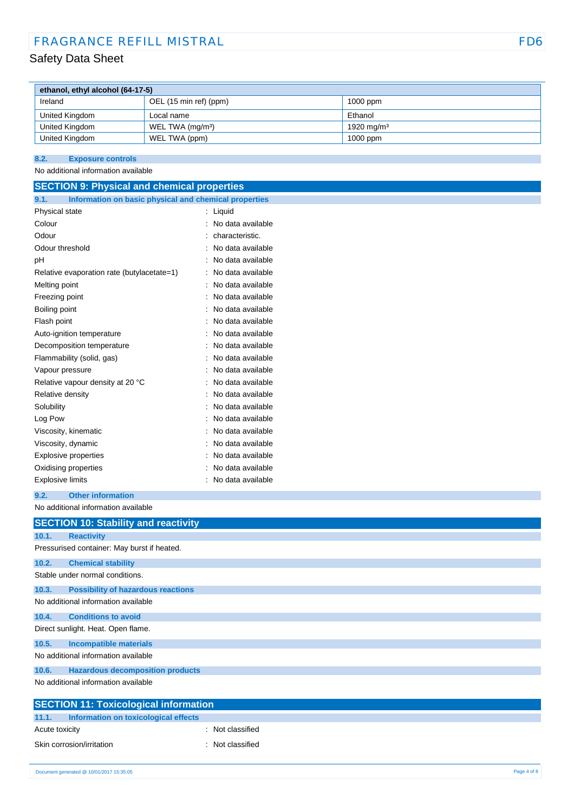### FRAGRANCE REFILL MISTRAL FOR THE REFILL MISTRAL FOR THE REFILL MISTRAL FOR THE REFILE OF THE REFILE OF THE REF

### Safety Data Sheet

| ethanol, ethyl alcohol (64-17-5) |                              |                        |  |
|----------------------------------|------------------------------|------------------------|--|
| Ireland                          | OEL (15 min ref) (ppm)       | $1000$ ppm             |  |
| United Kingdom                   | Local name                   | Ethanol                |  |
| United Kingdom                   | WEL TWA (mg/m <sup>3</sup> ) | 1920 mg/m <sup>3</sup> |  |
| United Kingdom                   | WEL TWA (ppm)                | $1000$ ppm             |  |

#### **8.2. Exposure controls**

No additional information available

| <b>SECTION 9: Physical and chemical properties</b>            |                   |
|---------------------------------------------------------------|-------------------|
| 9.1.<br>Information on basic physical and chemical properties |                   |
| Physical state                                                | Liquid            |
| Colour                                                        | No data available |
| Odour                                                         | characteristic.   |
| Odour threshold                                               | No data available |
| рH                                                            | No data available |
| Relative evaporation rate (butylacetate=1)                    | No data available |
| Melting point                                                 | No data available |
| Freezing point                                                | No data available |
| Boiling point                                                 | No data available |
| Flash point                                                   | No data available |
| Auto-ignition temperature                                     | No data available |
| Decomposition temperature                                     | No data available |
| Flammability (solid, gas)                                     | No data available |
| Vapour pressure                                               | No data available |
| Relative vapour density at 20 °C                              | No data available |
| Relative density                                              | No data available |
| Solubility                                                    | No data available |
| Log Pow                                                       | No data available |
| Viscosity, kinematic                                          | No data available |
| Viscosity, dynamic                                            | No data available |
| Explosive properties                                          | No data available |
| Oxidising properties                                          | No data available |
| <b>Explosive limits</b>                                       | No data available |

### **9.2. Other information**

No additional information available

|                                    | <b>SECTION 10: Stability and reactivity</b> |  |
|------------------------------------|---------------------------------------------|--|
| 10.1.                              | <b>Reactivity</b>                           |  |
|                                    | Pressurised container: May burst if heated. |  |
| 10.2.                              | <b>Chemical stability</b>                   |  |
|                                    | Stable under normal conditions.             |  |
| 10.3.                              | <b>Possibility of hazardous reactions</b>   |  |
|                                    | No additional information available         |  |
| 10.4.                              | <b>Conditions to avoid</b>                  |  |
| Direct sunlight. Heat. Open flame. |                                             |  |
| 10.5.                              | <b>Incompatible materials</b>               |  |
|                                    | No additional information available         |  |
| 10.6.                              | <b>Hazardous decomposition products</b>     |  |
|                                    | No additional information available         |  |

| <b>SECTION 11: Toxicological information</b>  |                |  |
|-----------------------------------------------|----------------|--|
| 11.1.<br>Information on toxicological effects |                |  |
| Acute toxicity                                | Not classified |  |
| Skin corrosion/irritation                     | Not classified |  |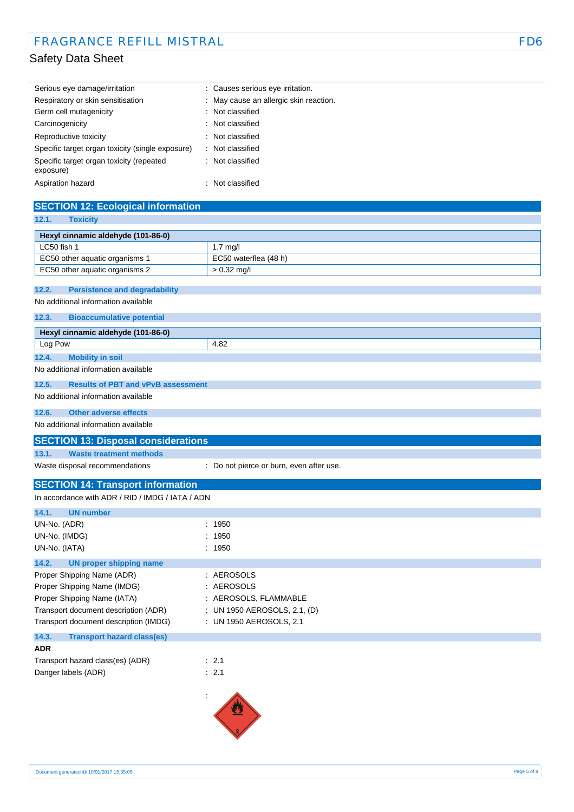| Serious eye damage/irritation                         | : Causes serious eye irritation.       |
|-------------------------------------------------------|----------------------------------------|
| Respiratory or skin sensitisation                     | : May cause an allergic skin reaction. |
| Germ cell mutagenicity                                | : Not classified                       |
| Carcinogenicity                                       | : Not classified                       |
| Reproductive toxicity                                 | : Not classified                       |
| Specific target organ toxicity (single exposure)      | : Not classified                       |
| Specific target organ toxicity (repeated<br>exposure) | : Not classified                       |
| Aspiration hazard                                     | : Not classified                       |

### **SECTION 12: Ecological information**

| <b>Toxicity</b><br>12.1.                                     |                                          |
|--------------------------------------------------------------|------------------------------------------|
| Hexyl cinnamic aldehyde (101-86-0)                           |                                          |
| LC50 fish 1                                                  | $1.7$ mg/l                               |
| EC50 other aquatic organisms 1                               | EC50 waterflea (48 h)                    |
| EC50 other aquatic organisms 2                               | $> 0.32$ mg/l                            |
|                                                              |                                          |
| <b>Persistence and degradability</b><br>12.2.                |                                          |
| No additional information available                          |                                          |
| 12.3.<br><b>Bioaccumulative potential</b>                    |                                          |
| Hexyl cinnamic aldehyde (101-86-0)                           |                                          |
| Log Pow                                                      | 4.82                                     |
| 12.4.<br><b>Mobility in soil</b>                             |                                          |
| No additional information available                          |                                          |
| <b>Results of PBT and vPvB assessment</b><br>12.5.           |                                          |
| No additional information available                          |                                          |
| <b>Other adverse effects</b><br>12.6.                        |                                          |
| No additional information available                          |                                          |
| <b>SECTION 13: Disposal considerations</b>                   |                                          |
| <b>Waste treatment methods</b><br>13.1.                      |                                          |
| Waste disposal recommendations                               | : Do not pierce or burn, even after use. |
| <b>SECTION 14: Transport information</b>                     |                                          |
| In accordance with ADR / RID / IMDG / IATA / ADN             |                                          |
| 14.1.<br><b>UN number</b>                                    |                                          |
| UN-No. (ADR)                                                 | : 1950                                   |
| UN-No. (IMDG)                                                | : 1950                                   |
| UN-No. (IATA)                                                | : 1950                                   |
| 14.2.                                                        |                                          |
| <b>UN proper shipping name</b><br>Proper Shipping Name (ADR) | : AEROSOLS                               |
| Proper Shipping Name (IMDG)<br>÷                             | <b>AEROSOLS</b>                          |
| Proper Shipping Name (IATA)                                  | AEROSOLS, FLAMMABLE                      |
|                                                              |                                          |
| Transport document description (ADR)                         | : UN 1950 AEROSOLS, 2.1, (D)             |
| Transport document description (IMDG)                        | : UN 1950 AEROSOLS, 2.1                  |
| <b>Transport hazard class(es)</b><br>14.3.                   |                                          |
| ADR                                                          |                                          |
| Transport hazard class(es) (ADR)                             | : 2.1                                    |
| Danger labels (ADR)                                          | : 2.1                                    |
| ÷                                                            |                                          |
|                                                              | W                                        |

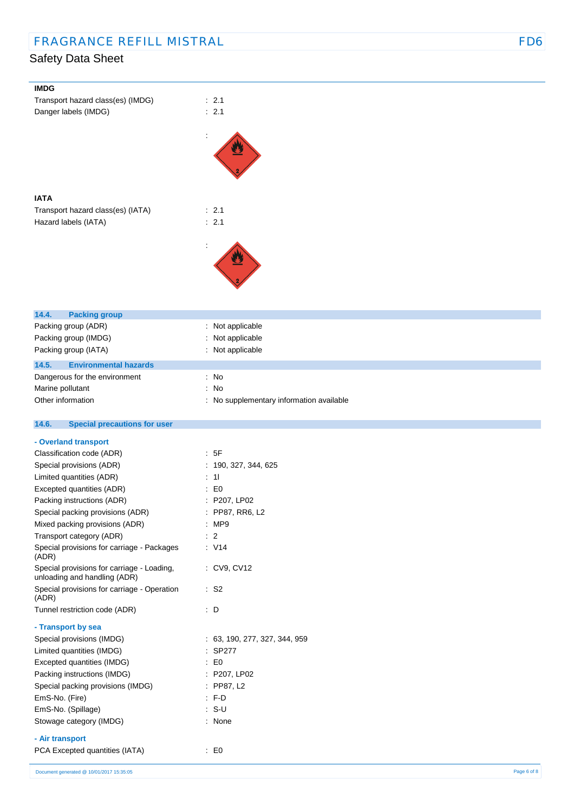| <b>IMDG</b>                                  |                                        |
|----------------------------------------------|----------------------------------------|
| Transport hazard class(es) (IMDG)            | : 2.1                                  |
| Danger labels (IMDG)                         | : 2.1                                  |
|                                              |                                        |
|                                              |                                        |
|                                              |                                        |
|                                              |                                        |
|                                              |                                        |
|                                              |                                        |
| <b>IATA</b>                                  |                                        |
| Transport hazard class(es) (IATA)            | : 2.1                                  |
| Hazard labels (IATA)                         | : 2.1                                  |
|                                              |                                        |
|                                              |                                        |
|                                              |                                        |
|                                              |                                        |
|                                              |                                        |
|                                              |                                        |
|                                              |                                        |
| 14.4.<br><b>Packing group</b>                |                                        |
| Packing group (ADR)                          | : Not applicable                       |
| Packing group (IMDG)                         | Not applicable                         |
|                                              |                                        |
| Packing group (IATA)                         | : Not applicable                       |
| 14.5.<br><b>Environmental hazards</b>        |                                        |
| Dangerous for the environment                | : No                                   |
| Marine pollutant                             | No<br>÷                                |
| Other information                            | No supplementary information available |
|                                              |                                        |
| 14.6.<br><b>Special precautions for user</b> |                                        |
| - Overland transport                         |                                        |
| Classification code (ADR)                    | $\therefore$ 5F                        |
| Special provisions (ADR)                     | : 190, 327, 344, 625                   |
| Limited quantities (ADR)                     | $\therefore$ 11                        |
| Excepted quantities (ADR)                    | $\therefore$ EO                        |
| Packing instructions (ADR)                   | : P207, LP02                           |
| Special packing provisions (ADR)             | PP87, RR6, L2                          |
| Mixed packing provisions (ADR)               | : MP9                                  |
| Transport category (ADR)                     | $\therefore$ 2                         |
| Special provisions for carriage - Packages   | : V14                                  |
| (ADR)                                        |                                        |
| Special provisions for carriage - Loading,   | : CV9, CV12                            |
| unloading and handling (ADR)                 |                                        |
| Special provisions for carriage - Operation  | $\therefore$ S2                        |
| (ADR)                                        |                                        |
| Tunnel restriction code (ADR)                | $\therefore$ D                         |
| - Transport by sea                           |                                        |
| Special provisions (IMDG)                    | : 63, 190, 277, 327, 344, 959          |
| Limited quantities (IMDG)                    | : SP277                                |
| Excepted quantities (IMDG)                   | $\therefore$ EO                        |
| Packing instructions (IMDG)                  | : P207, LP02                           |
| Special packing provisions (IMDG)            | : PP87, L2                             |
| EmS-No. (Fire)                               | $:$ F-D                                |
| EmS-No. (Spillage)                           | $: S-U$                                |
| Stowage category (IMDG)                      | : None                                 |
|                                              |                                        |
| - Air transport                              |                                        |
| PCA Excepted quantities (IATA)               | $\mathbf{E}$ = $\mathbf{E}$            |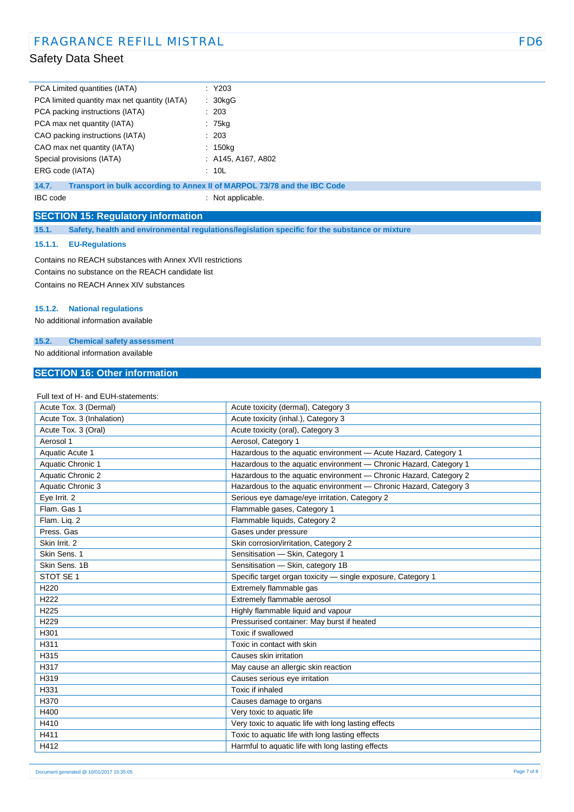| PCA Limited quantities (IATA)                | $:$ Y203             |
|----------------------------------------------|----------------------|
| PCA limited quantity max net quantity (IATA) | : 30kgG              |
| PCA packing instructions (IATA)              | : 203                |
| PCA max net quantity (IATA)                  | : 75kg               |
| CAO packing instructions (IATA)              | : 203                |
| CAO max net quantity (IATA)                  | $: 150$ kg           |
| Special provisions (IATA)                    | $:$ A145, A167, A802 |
| ERG code (IATA)                              | : 10L                |

**14.7. Transport in bulk according to Annex II of MARPOL 73/78 and the IBC Code**

IBC code : Not applicable.

### **SECTION 15: Regulatory information**

**15.1. Safety, health and environmental regulations/legislation specific for the substance or mixture**

#### **15.1.1. EU-Regulations**

Contains no REACH substances with Annex XVII restrictions Contains no substance on the REACH candidate list Contains no REACH Annex XIV substances

#### **15.1.2. National regulations**

No additional information available

#### **15.2. Chemical safety assessment**

No additional information available

### **SECTION 16: Other information**

| Full text of H- and EUH-statements: |                                                                   |
|-------------------------------------|-------------------------------------------------------------------|
| Acute Tox. 3 (Dermal)               | Acute toxicity (dermal), Category 3                               |
| Acute Tox. 3 (Inhalation)           | Acute toxicity (inhal.), Category 3                               |
| Acute Tox. 3 (Oral)                 | Acute toxicity (oral), Category 3                                 |
| Aerosol 1                           | Aerosol, Category 1                                               |
| <b>Aquatic Acute 1</b>              | Hazardous to the aquatic environment - Acute Hazard, Category 1   |
| Aquatic Chronic 1                   | Hazardous to the aquatic environment - Chronic Hazard, Category 1 |
| Aquatic Chronic 2                   | Hazardous to the aquatic environment - Chronic Hazard, Category 2 |
| Aquatic Chronic 3                   | Hazardous to the aquatic environment - Chronic Hazard, Category 3 |
| Eye Irrit. 2                        | Serious eye damage/eye irritation, Category 2                     |
| Flam. Gas 1                         | Flammable gases, Category 1                                       |
| Flam. Lig. 2                        | Flammable liquids, Category 2                                     |
| Press, Gas                          | Gases under pressure                                              |
| Skin Irrit. 2                       | Skin corrosion/irritation, Category 2                             |
| Skin Sens. 1                        | Sensitisation - Skin, Category 1                                  |
| Skin Sens, 1B                       | Sensitisation - Skin, category 1B                                 |
| STOT SE 1                           | Specific target organ toxicity - single exposure, Category 1      |
| H <sub>220</sub>                    | Extremely flammable gas                                           |
| H222                                | Extremely flammable aerosol                                       |
| H <sub>225</sub>                    | Highly flammable liquid and vapour                                |
| H229                                | Pressurised container: May burst if heated                        |
| H301                                | Toxic if swallowed                                                |
| H311                                | Toxic in contact with skin                                        |
| H315                                | Causes skin irritation                                            |
| H317                                | May cause an allergic skin reaction                               |
| H319                                | Causes serious eye irritation                                     |
| H331                                | Toxic if inhaled                                                  |
| H370                                | Causes damage to organs                                           |
| H400                                | Very toxic to aquatic life                                        |
| H410                                | Very toxic to aquatic life with long lasting effects              |
| H411                                | Toxic to aquatic life with long lasting effects                   |
| H412                                | Harmful to aquatic life with long lasting effects                 |